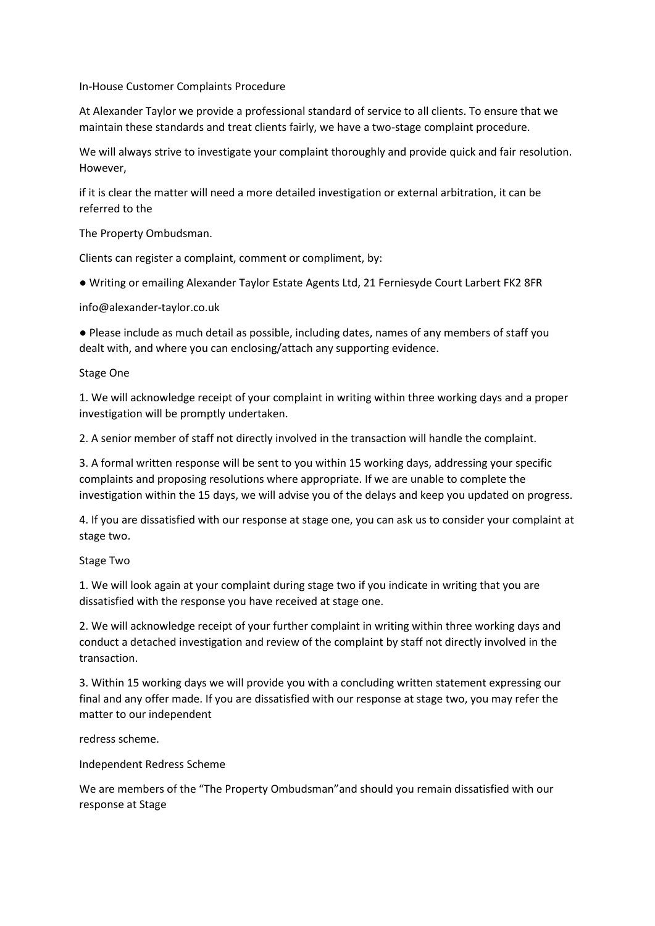In-House Customer Complaints Procedure

At Alexander Taylor we provide a professional standard of service to all clients. To ensure that we maintain these standards and treat clients fairly, we have a two-stage complaint procedure.

We will always strive to investigate your complaint thoroughly and provide quick and fair resolution. However,

if it is clear the matter will need a more detailed investigation or external arbitration, it can be referred to the

The Property Ombudsman.

Clients can register a complaint, comment or compliment, by:

● Writing or emailing Alexander Taylor Estate Agents Ltd, 21 Ferniesyde Court Larbert FK2 8FR

info@alexander-taylor.co.uk

● Please include as much detail as possible, including dates, names of any members of staff you dealt with, and where you can enclosing/attach any supporting evidence.

Stage One

1. We will acknowledge receipt of your complaint in writing within three working days and a proper investigation will be promptly undertaken.

2. A senior member of staff not directly involved in the transaction will handle the complaint.

3. A formal written response will be sent to you within 15 working days, addressing your specific complaints and proposing resolutions where appropriate. If we are unable to complete the investigation within the 15 days, we will advise you of the delays and keep you updated on progress.

4. If you are dissatisfied with our response at stage one, you can ask us to consider your complaint at stage two.

Stage Two

1. We will look again at your complaint during stage two if you indicate in writing that you are dissatisfied with the response you have received at stage one.

2. We will acknowledge receipt of your further complaint in writing within three working days and conduct a detached investigation and review of the complaint by staff not directly involved in the transaction.

3. Within 15 working days we will provide you with a concluding written statement expressing our final and any offer made. If you are dissatisfied with our response at stage two, you may refer the matter to our independent

redress scheme.

Independent Redress Scheme

We are members of the "The Property Ombudsman"and should you remain dissatisfied with our response at Stage